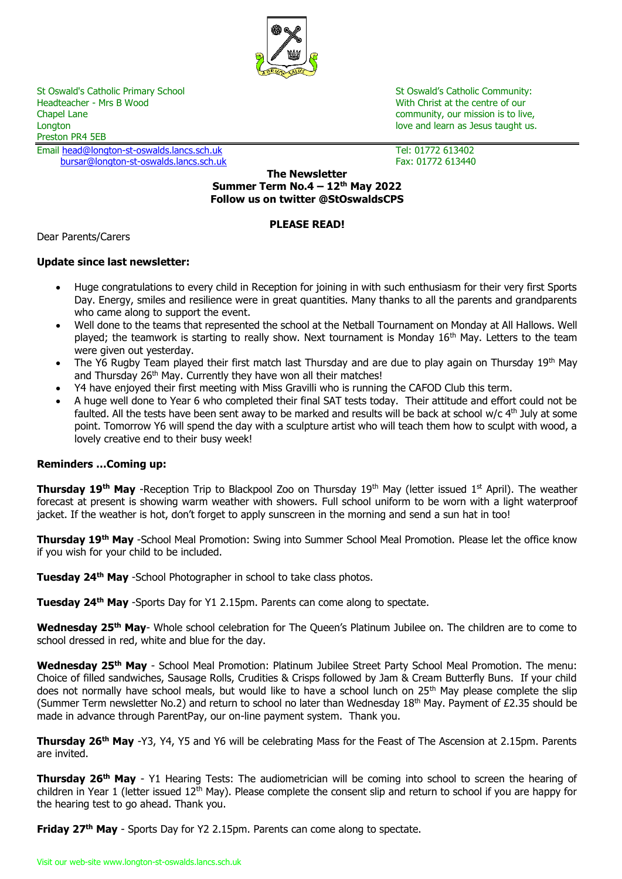

St Oswald's Catholic Primary School St Oswald's Catholic Community:<br>
Headteacher - Mrs B Wood St Oswald's Catholic Community:<br>
With Christ at the centre of our Chapel Lane community, our mission is to live, Longton love and learn as Jesus taught us. The love and love and learn as Jesus taught us. Preston PR4 5EB

Email [head@longton-st-oswalds.lancs.sch.uk](mailto:head@longton-st-oswalds.lancs.sch.uk) Tel: 01772 613402 [bursar@longton-st-oswalds.lancs.sch.uk](mailto:bursar@longton-st-oswalds.lancs.sch.uk) Fax: 01772 613440

With Christ at the centre of our

### **The Newsletter Summer Term No.4 – 12th May 2022 Follow us on twitter @StOswaldsCPS**

# **PLEASE READ!**

Dear Parents/Carers

# **Update since last newsletter:**

- Huge congratulations to every child in Reception for joining in with such enthusiasm for their very first Sports Day. Energy, smiles and resilience were in great quantities. Many thanks to all the parents and grandparents who came along to support the event.
- Well done to the teams that represented the school at the Netball Tournament on Monday at All Hallows. Well played; the teamwork is starting to really show. Next tournament is Monday 16<sup>th</sup> May. Letters to the team were given out yesterday.
- The Y6 Rugby Team played their first match last Thursday and are due to play again on Thursday 19<sup>th</sup> May and Thursday 26<sup>th</sup> May. Currently they have won all their matches!
- Y4 have enjoyed their first meeting with Miss Gravilli who is running the CAFOD Club this term.
- A huge well done to Year 6 who completed their final SAT tests today. Their attitude and effort could not be faulted. All the tests have been sent away to be marked and results will be back at school w/c  $4<sup>th</sup>$  July at some point. Tomorrow Y6 will spend the day with a sculpture artist who will teach them how to sculpt with wood, a lovely creative end to their busy week!

# **Reminders …Coming up:**

**Thursday 19<sup>th</sup> May** -Reception Trip to Blackpool Zoo on Thursday 19<sup>th</sup> May (letter issued 1st April). The weather forecast at present is showing warm weather with showers. Full school uniform to be worn with a light waterproof jacket. If the weather is hot, don't forget to apply sunscreen in the morning and send a sun hat in too!

**Thursday 19th May** -School Meal Promotion: Swing into Summer School Meal Promotion. Please let the office know if you wish for your child to be included.

**Tuesday 24th May** -School Photographer in school to take class photos.

**Tuesday 24th May** -Sports Day for Y1 2.15pm. Parents can come along to spectate.

**Wednesday 25th May**- Whole school celebration for The Queen's Platinum Jubilee on. The children are to come to school dressed in red, white and blue for the day.

**Wednesday 25th May** - School Meal Promotion: Platinum Jubilee Street Party School Meal Promotion. The menu: Choice of filled sandwiches, Sausage Rolls, Crudities & Crisps followed by Jam & Cream Butterfly Buns. If your child does not normally have school meals, but would like to have a school lunch on 25<sup>th</sup> May please complete the slip (Summer Term newsletter No.2) and return to school no later than Wednesday  $18<sup>th</sup>$  May. Payment of £2.35 should be made in advance through ParentPay, our on-line payment system. Thank you.

**Thursday 26th May** -Y3, Y4, Y5 and Y6 will be celebrating Mass for the Feast of The Ascension at 2.15pm. Parents are invited.

**Thursday 26th May** - Y1 Hearing Tests: The audiometrician will be coming into school to screen the hearing of children in Year 1 (letter issued 12<sup>th</sup> May). Please complete the consent slip and return to school if you are happy for the hearing test to go ahead. Thank you.

**Friday 27th May** - Sports Day for Y2 2.15pm. Parents can come along to spectate.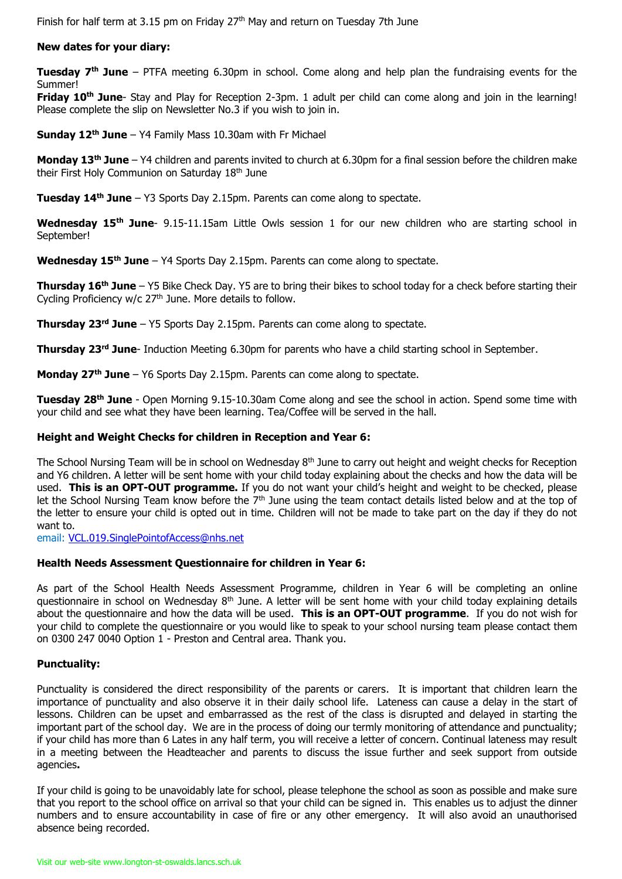Finish for half term at 3.15 pm on Friday  $27<sup>th</sup>$  May and return on Tuesday 7th June

### **New dates for your diary:**

**Tuesday 7th June** – PTFA meeting 6.30pm in school. Come along and help plan the fundraising events for the Summer!

**Friday 10th June**- Stay and Play for Reception 2-3pm. 1 adult per child can come along and join in the learning! Please complete the slip on Newsletter No.3 if you wish to join in.

**Sunday 12th June** – Y4 Family Mass 10.30am with Fr Michael

**Monday 13th June** – Y4 children and parents invited to church at 6.30pm for a final session before the children make their First Holy Communion on Saturday 18<sup>th</sup> June

**Tuesday 14th June** – Y3 Sports Day 2.15pm. Parents can come along to spectate.

**Wednesday 15th June**- 9.15-11.15am Little Owls session 1 for our new children who are starting school in September!

**Wednesday 15th June** – Y4 Sports Day 2.15pm. Parents can come along to spectate.

**Thursday 16th June** – Y5 Bike Check Day. Y5 are to bring their bikes to school today for a check before starting their Cycling Proficiency w/c 27<sup>th</sup> June. More details to follow.

**Thursday 23rd June** – Y5 Sports Day 2.15pm. Parents can come along to spectate.

**Thursday 23rd June**- Induction Meeting 6.30pm for parents who have a child starting school in September.

**Monday 27th June** – Y6 Sports Day 2.15pm. Parents can come along to spectate.

**Tuesday 28th June** - Open Morning 9.15-10.30am Come along and see the school in action. Spend some time with your child and see what they have been learning. Tea/Coffee will be served in the hall.

### **Height and Weight Checks for children in Reception and Year 6:**

The School Nursing Team will be in school on Wednesday 8<sup>th</sup> June to carry out height and weight checks for Reception and Y6 children. A letter will be sent home with your child today explaining about the checks and how the data will be used. **This is an OPT-OUT programme.** If you do not want your child's height and weight to be checked, please let the School Nursing Team know before the 7<sup>th</sup> June using the team contact details listed below and at the top of the letter to ensure your child is opted out in time. Children will not be made to take part on the day if they do not want to.

email: [VCL.019.SinglePointofAccess@nhs.net](mailto:VCL.019.SinglePointofAccess@nhs.net)

#### **Health Needs Assessment Questionnaire for children in Year 6:**

As part of the School Health Needs Assessment Programme, children in Year 6 will be completing an online questionnaire in school on Wednesday  $8<sup>th</sup>$  June. A letter will be sent home with your child today explaining details about the questionnaire and how the data will be used. **This is an OPT-OUT programme**. If you do not wish for your child to complete the questionnaire or you would like to speak to your school nursing team please contact them on 0300 247 0040 Option 1 - Preston and Central area. Thank you.

#### **Punctuality:**

Punctuality is considered the direct responsibility of the parents or carers. It is important that children learn the importance of punctuality and also observe it in their daily school life. Lateness can cause a delay in the start of lessons. Children can be upset and embarrassed as the rest of the class is disrupted and delayed in starting the important part of the school day. We are in the process of doing our termly monitoring of attendance and punctuality; if your child has more than 6 Lates in any half term, you will receive a letter of concern. Continual lateness may result in a meeting between the Headteacher and parents to discuss the issue further and seek support from outside agencies**.**

If your child is going to be unavoidably late for school, please telephone the school as soon as possible and make sure that you report to the school office on arrival so that your child can be signed in. This enables us to adjust the dinner numbers and to ensure accountability in case of fire or any other emergency. It will also avoid an unauthorised absence being recorded.